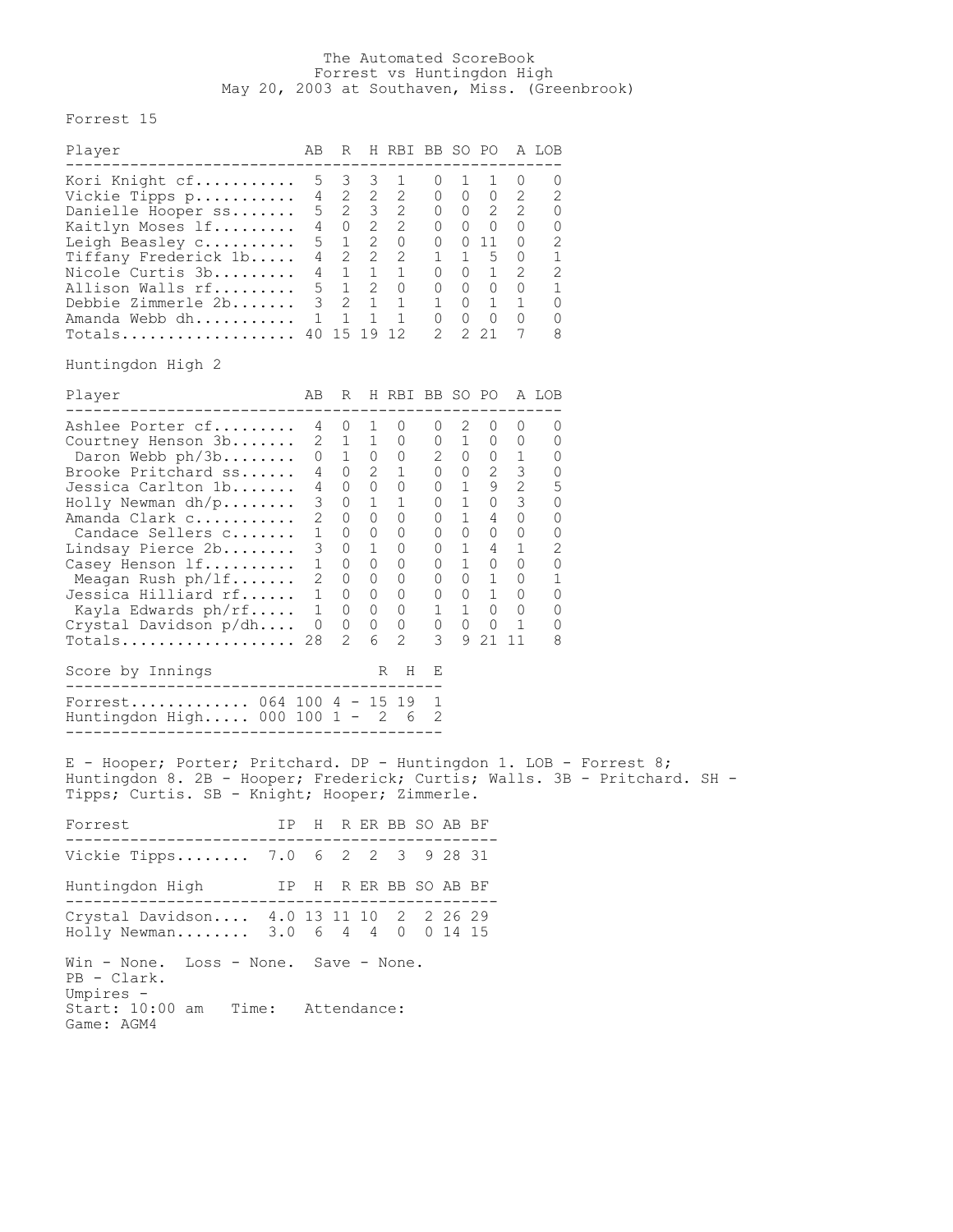## The Automated ScoreBook Forrest vs Huntingdon High May 20, 2003 at Southaven, Miss. (Greenbrook)

Forrest 15

| Player                                                                                                                                                                                                                                                                                                                                     | AВ                                                                       | R                                                                                                                                                                                                                     |                                                                | H RBI BB SO PO                                                                                                                                                                 |                                                                                                                                                                                                                  |                                                                                                                                                 |         |                     | A LOB                                                                                                 |  |  |
|--------------------------------------------------------------------------------------------------------------------------------------------------------------------------------------------------------------------------------------------------------------------------------------------------------------------------------------------|--------------------------------------------------------------------------|-----------------------------------------------------------------------------------------------------------------------------------------------------------------------------------------------------------------------|----------------------------------------------------------------|--------------------------------------------------------------------------------------------------------------------------------------------------------------------------------|------------------------------------------------------------------------------------------------------------------------------------------------------------------------------------------------------------------|-------------------------------------------------------------------------------------------------------------------------------------------------|---------|---------------------|-------------------------------------------------------------------------------------------------------|--|--|
| Kori Knight cf<br>Vickie Tipps p<br>Danielle Hooper ss<br>Kaitlyn Moses lf<br>Leigh Beasley C<br>Tiffany Frederick 1b<br>Nicole Curtis 3b<br>Allison Walls rf<br>Debbie Zimmerle 2b 3 2 1 1<br>Amanda Webb dh 1 1<br>Totals 40 15 19 12<br>Huntingdon High 2                                                                               | 5                                                                        | $\overline{\mathbf{3}}$<br>$4 \quad 2 \quad 2 \quad 2$<br>4 1 1 1<br>$5\quad 1\quad 2\quad 0$                                                                                                                         | 1                                                              | $3 \quad 1$<br>4 2 2 2 0 0 0 2<br>$\begin{array}{ccccccccc} 5 & 2 & 3 & 2 & 0 & 0 & 2 & 2 \\ 4 & 0 & 2 & 2 & 0 & 0 & 0 & 0 \\ 5 & 1 & 2 & 0 & 0 & 0 & 11 & 0 \end{array}$<br>1 | $\overline{0}$<br>$\begin{array}{cccc} 1 & 1 & 5 & 0 \\ 0 & 0 & 1 & 2 \end{array}$<br>$\begin{matrix} 0 & 0 & 0 & 0 \end{matrix}$<br>$\begin{array}{ccccccc} 1 & 0 & 1 & 1 \\ 0 & 0 & 0 & 0 \end{array}$<br>2    | 1 1                                                                                                                                             | 2 2 1   | $\overline{0}$<br>7 | 0<br>2<br>O<br>0<br>2<br>1<br>$\mathbf{2}$<br>1<br>0<br>0<br>8                                        |  |  |
| Player                                                                                                                                                                                                                                                                                                                                     | AB                                                                       |                                                                                                                                                                                                                       |                                                                | R H RBI BB SO PO A LOB                                                                                                                                                         |                                                                                                                                                                                                                  |                                                                                                                                                 |         |                     |                                                                                                       |  |  |
| -----------------------------<br>Ashlee Porter cf<br>Courtney Henson 3b<br>Daron Webb ph/3b<br>Brooke Pritchard ss<br>Jessica Carlton 1b<br>Holly Newman $dh/p$<br>Amanda Clark c<br>Candace Sellers c<br>Lindsay Pierce 2b<br>Casey Henson 1f<br>Meagan Rush ph/lf<br>Jessica Hilliard rf<br>Kayla Edwards ph/rf<br>Crystal Davidson p/dh | 3<br>$\overline{2}$<br>$\mathbf{1}$<br>3<br>$\mathbf{1}$<br>$\mathbf{1}$ | 4 0 1 0<br>$2 \quad 1 \quad 1 \quad 0$<br>0 1 0 0<br>4 0<br>4 0 0 0<br>$\overline{0}$<br>$\overline{0}$<br>$\overline{0}$<br>$\overline{0}$<br>$0\quad 0$<br>2 0 0 0<br>1 0 0 0<br>$\overline{0}$<br>$0\qquad 0$<br>2 | $\mathbf{1}$<br>$\circ$<br>$\circ$<br>1<br>$\overline{0}$<br>6 | $2 \quad 1$<br>$\overline{1}$<br>$\overline{0}$<br>$\overline{0}$<br>$\overline{0}$<br>$\overline{0}$<br>$0\quad 0$<br>$\overline{0}$<br>2                                     | $\cup$<br>$\begin{array}{ccc} 0 & 1 & 0 & 0 \\ 2 & 0 & 0 & 1 \\ 0 & 0 & 2 & 3 \\ 0 & 1 & 9 & 2 \end{array}$<br>$0 \t 0 \t 1 \t 0$<br>$0 \t 0 \t 1 \t 0$<br>$1\,$<br>$\begin{matrix} 0 & 0 & 0 \end{matrix}$<br>3 | 2 0 0<br>$0 \quad 1 \quad 0 \quad 3$<br>$0 \t1 \t4 \t0$<br>$0\qquad 0\qquad 0\qquad 0$<br>$0 \quad 1 \quad 4 \quad 1$<br>0 1 0 0<br>$1 \quad 0$ | 9 21 11 | 0<br>1              | ---------------<br>O<br>0<br>O<br>0<br>5<br>0<br>0<br>0<br>$\mathbf{2}$<br>0<br>1<br>0<br>0<br>0<br>8 |  |  |
| Score by Innings<br>--------------------------------                                                                                                                                                                                                                                                                                       |                                                                          |                                                                                                                                                                                                                       |                                                                | H<br>R                                                                                                                                                                         | Е                                                                                                                                                                                                                |                                                                                                                                                 |         |                     |                                                                                                       |  |  |
| Forrest 064 100 4 - 15 19<br>Huntingdon High 000 100 1 - 2 6<br>E - Hooper; Porter; Pritchard. DP - Huntingdon 1. LOB - Forrest 8;                                                                                                                                                                                                         |                                                                          |                                                                                                                                                                                                                       |                                                                |                                                                                                                                                                                | $\overline{1}$                                                                                                                                                                                                   |                                                                                                                                                 |         |                     |                                                                                                       |  |  |
| Huntingdon 8. 2B - Hooper; Frederick; Curtis; Walls. 3B - Pritchard. SH -<br>Tipps; Curtis. SB - Knight; Hooper; Zimmerle.                                                                                                                                                                                                                 |                                                                          |                                                                                                                                                                                                                       |                                                                |                                                                                                                                                                                |                                                                                                                                                                                                                  |                                                                                                                                                 |         |                     |                                                                                                       |  |  |
| Forrest                                                                                                                                                                                                                                                                                                                                    |                                                                          |                                                                                                                                                                                                                       |                                                                | IP H R ER BB SO AB BF                                                                                                                                                          |                                                                                                                                                                                                                  |                                                                                                                                                 |         |                     |                                                                                                       |  |  |
| Vickie Tipps 7.0 6 2 2 3 9 28 31                                                                                                                                                                                                                                                                                                           |                                                                          |                                                                                                                                                                                                                       |                                                                |                                                                                                                                                                                |                                                                                                                                                                                                                  |                                                                                                                                                 |         |                     |                                                                                                       |  |  |
| Huntingdon High<br>IP H R ER BB SO AB BF                                                                                                                                                                                                                                                                                                   |                                                                          |                                                                                                                                                                                                                       |                                                                |                                                                                                                                                                                |                                                                                                                                                                                                                  |                                                                                                                                                 |         |                     |                                                                                                       |  |  |
| Crystal Davidson 4.0 13 11 10 2 2 26 29<br>Holly Newman 3.0 6 4 4 0 0 14 15                                                                                                                                                                                                                                                                |                                                                          |                                                                                                                                                                                                                       |                                                                |                                                                                                                                                                                |                                                                                                                                                                                                                  |                                                                                                                                                 |         |                     |                                                                                                       |  |  |
| Win - None. Loss - None. Save - None.<br>PB - Clark.<br>Umpires -<br>Start: 10:00 am<br>Time: Attendance:<br>Game: AGM4                                                                                                                                                                                                                    |                                                                          |                                                                                                                                                                                                                       |                                                                |                                                                                                                                                                                |                                                                                                                                                                                                                  |                                                                                                                                                 |         |                     |                                                                                                       |  |  |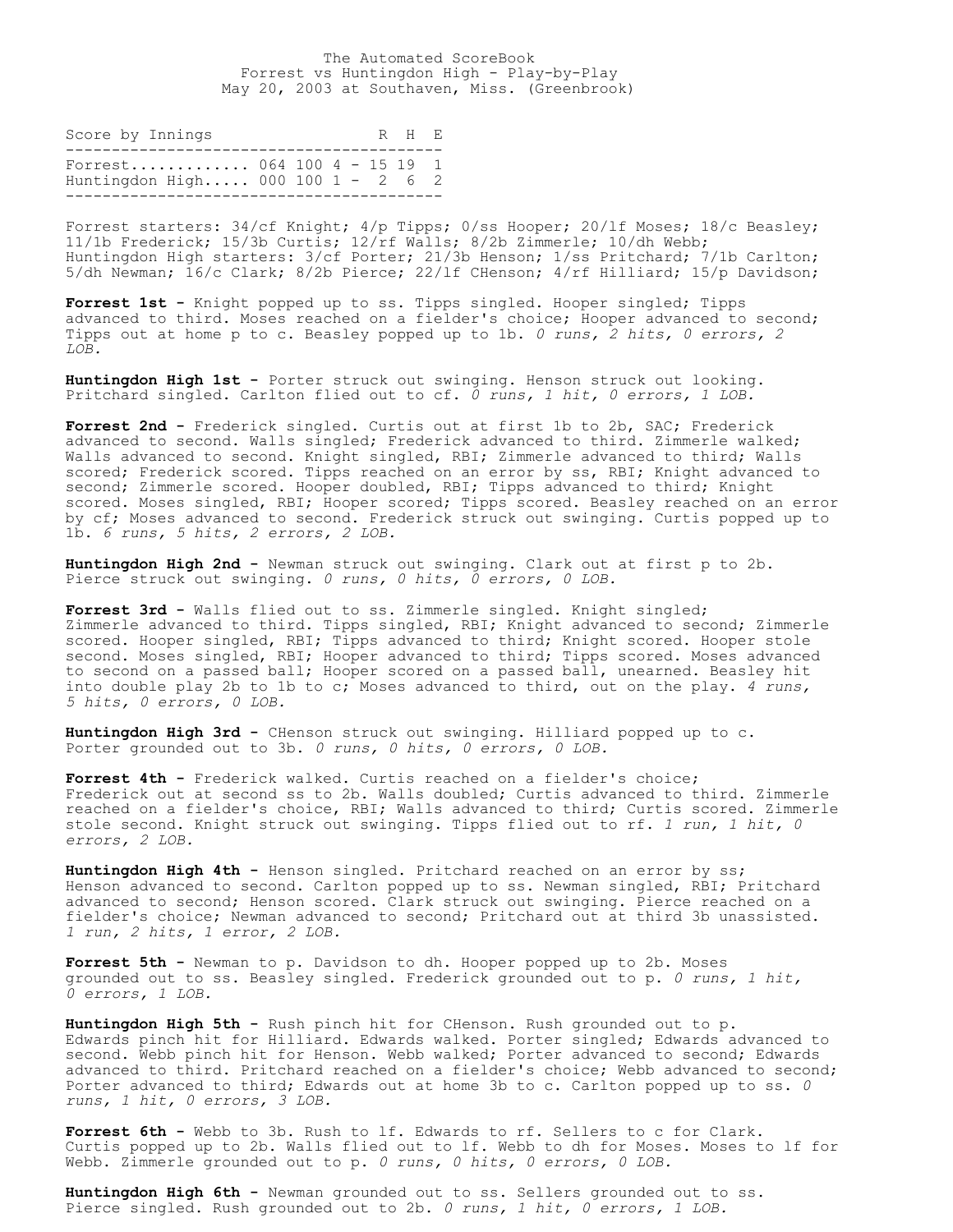The Automated ScoreBook Forrest vs Huntingdon High - Play-by-Play May 20, 2003 at Southaven, Miss. (Greenbrook)

| Score by Innings                                                 |  |  | R H F. |  |
|------------------------------------------------------------------|--|--|--------|--|
| Forrest 064 100 4 - 15 19 1<br>Huntingdon High 000 100 1 - 2 6 2 |  |  |        |  |

Forrest starters: 34/cf Knight; 4/p Tipps; 0/ss Hooper; 20/lf Moses; 18/c Beasley; 11/1b Frederick; 15/3b Curtis; 12/rf Walls; 8/2b Zimmerle; 10/dh Webb; Huntingdon High starters: 3/cf Porter; 21/3b Henson; 1/ss Pritchard; 7/1b Carlton; 5/dh Newman; 16/c Clark; 8/2b Pierce; 22/lf CHenson; 4/rf Hilliard; 15/p Davidson;

**Forrest 1st -** Knight popped up to ss. Tipps singled. Hooper singled; Tipps advanced to third. Moses reached on a fielder's choice; Hooper advanced to second; Tipps out at home p to c. Beasley popped up to 1b. *0 runs, 2 hits, 0 errors, 2 LOB.*

**Huntingdon High 1st -** Porter struck out swinging. Henson struck out looking. Pritchard singled. Carlton flied out to cf. *0 runs, 1 hit, 0 errors, 1 LOB.*

**Forrest 2nd -** Frederick singled. Curtis out at first 1b to 2b, SAC; Frederick advanced to second. Walls singled; Frederick advanced to third. Zimmerle walked; Walls advanced to second. Knight singled, RBI; Zimmerle advanced to third; Walls scored; Frederick scored. Tipps reached on an error by ss, RBI; Knight advanced to second; Zimmerle scored. Hooper doubled, RBI; Tipps advanced to third; Knight scored. Moses singled, RBI; Hooper scored; Tipps scored. Beasley reached on an error by cf; Moses advanced to second. Frederick struck out swinging. Curtis popped up to 1b. *6 runs, 5 hits, 2 errors, 2 LOB.*

**Huntingdon High 2nd -** Newman struck out swinging. Clark out at first p to 2b. Pierce struck out swinging. *0 runs, 0 hits, 0 errors, 0 LOB.*

**Forrest 3rd -** Walls flied out to ss. Zimmerle singled. Knight singled; Zimmerle advanced to third. Tipps singled, RBI; Knight advanced to second; Zimmerle scored. Hooper singled, RBI; Tipps advanced to third; Knight scored. Hooper stole second. Moses singled, RBI; Hooper advanced to third; Tipps scored. Moses advanced to second on a passed ball; Hooper scored on a passed ball, unearned. Beasley hit into double play 2b to 1b to c; Moses advanced to third, out on the play. *4 runs, 5 hits, 0 errors, 0 LOB.*

**Huntingdon High 3rd -** CHenson struck out swinging. Hilliard popped up to c. Porter grounded out to 3b. *0 runs, 0 hits, 0 errors, 0 LOB.*

**Forrest 4th -** Frederick walked. Curtis reached on a fielder's choice; Frederick out at second ss to 2b. Walls doubled; Curtis advanced to third. Zimmerle reached on a fielder's choice, RBI; Walls advanced to third; Curtis scored. Zimmerle stole second. Knight struck out swinging. Tipps flied out to rf. *1 run, 1 hit, 0 errors, 2 LOB.*

Huntingdon High 4th - Henson singled. Pritchard reached on an error by ss; Henson advanced to second. Carlton popped up to ss. Newman singled, RBI; Pritchard advanced to second; Henson scored. Clark struck out swinging. Pierce reached on a fielder's choice; Newman advanced to second; Pritchard out at third 3b unassisted. *1 run, 2 hits, 1 error, 2 LOB.*

**Forrest 5th -** Newman to p. Davidson to dh. Hooper popped up to 2b. Moses grounded out to ss. Beasley singled. Frederick grounded out to p. *0 runs, 1 hit, 0 errors, 1 LOB.*

**Huntingdon High 5th -** Rush pinch hit for CHenson. Rush grounded out to p. Edwards pinch hit for Hilliard. Edwards walked. Porter singled; Edwards advanced to second. Webb pinch hit for Henson. Webb walked; Porter advanced to second; Edwards advanced to third. Pritchard reached on a fielder's choice; Webb advanced to second; Porter advanced to third; Edwards out at home 3b to c. Carlton popped up to ss. *0 runs, 1 hit, 0 errors, 3 LOB.*

**Forrest 6th -** Webb to 3b. Rush to lf. Edwards to rf. Sellers to c for Clark. Curtis popped up to 2b. Walls flied out to lf. Webb to dh for Moses. Moses to lf for Webb. Zimmerle grounded out to p. *0 runs, 0 hits, 0 errors, 0 LOB.*

**Huntingdon High 6th -** Newman grounded out to ss. Sellers grounded out to ss. Pierce singled. Rush grounded out to 2b. *0 runs, 1 hit, 0 errors, 1 LOB.*